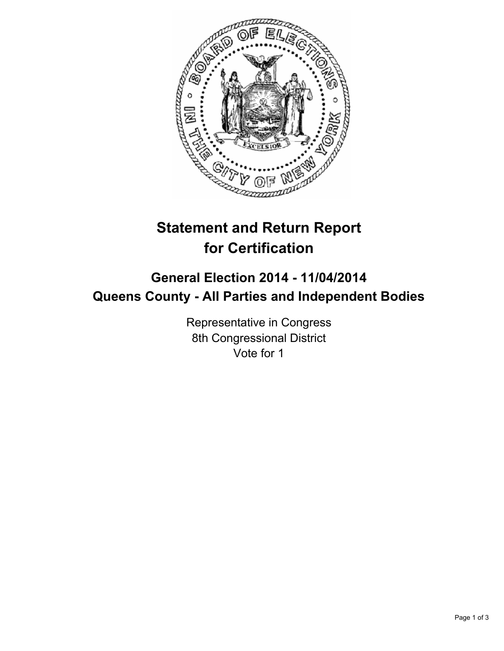

# **Statement and Return Report for Certification**

## **General Election 2014 - 11/04/2014 Queens County - All Parties and Independent Bodies**

Representative in Congress 8th Congressional District Vote for 1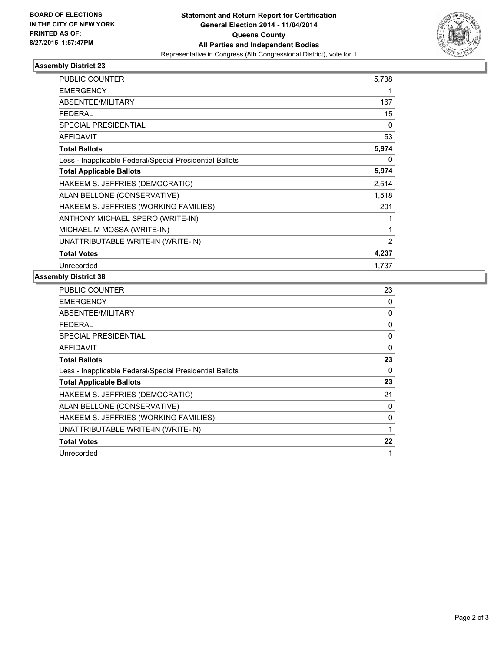

#### **Assembly District 23**

| <b>PUBLIC COUNTER</b>                                    | 5,738 |
|----------------------------------------------------------|-------|
| <b>EMERGENCY</b>                                         | 1     |
| ABSENTEE/MILITARY                                        | 167   |
| <b>FEDERAL</b>                                           | 15    |
| <b>SPECIAL PRESIDENTIAL</b>                              | 0     |
| <b>AFFIDAVIT</b>                                         | 53    |
| <b>Total Ballots</b>                                     | 5,974 |
| Less - Inapplicable Federal/Special Presidential Ballots | 0     |
| <b>Total Applicable Ballots</b>                          | 5,974 |
| HAKEEM S. JEFFRIES (DEMOCRATIC)                          | 2,514 |
| ALAN BELLONE (CONSERVATIVE)                              | 1,518 |
| HAKEEM S. JEFFRIES (WORKING FAMILIES)                    | 201   |
| ANTHONY MICHAEL SPERO (WRITE-IN)                         | 1     |
| MICHAEL M MOSSA (WRITE-IN)                               | 1     |
| UNATTRIBUTABLE WRITE-IN (WRITE-IN)                       | 2     |
| <b>Total Votes</b>                                       | 4,237 |
| Unrecorded                                               | 1,737 |

### **Assembly District 38**

| PUBLIC COUNTER                                           | 23 |
|----------------------------------------------------------|----|
| <b>EMERGENCY</b>                                         | 0  |
| ABSENTEE/MILITARY                                        | 0  |
| <b>FEDERAL</b>                                           | 0  |
| SPECIAL PRESIDENTIAL                                     | 0  |
| AFFIDAVIT                                                | 0  |
| <b>Total Ballots</b>                                     | 23 |
| Less - Inapplicable Federal/Special Presidential Ballots | 0  |
| <b>Total Applicable Ballots</b>                          | 23 |
| HAKEEM S. JEFFRIES (DEMOCRATIC)                          | 21 |
| ALAN BELLONE (CONSERVATIVE)                              | 0  |
| HAKEEM S. JEFFRIES (WORKING FAMILIES)                    | 0  |
| UNATTRIBUTABLE WRITE-IN (WRITE-IN)                       | 1  |
| <b>Total Votes</b>                                       | 22 |
| Unrecorded                                               | 1  |